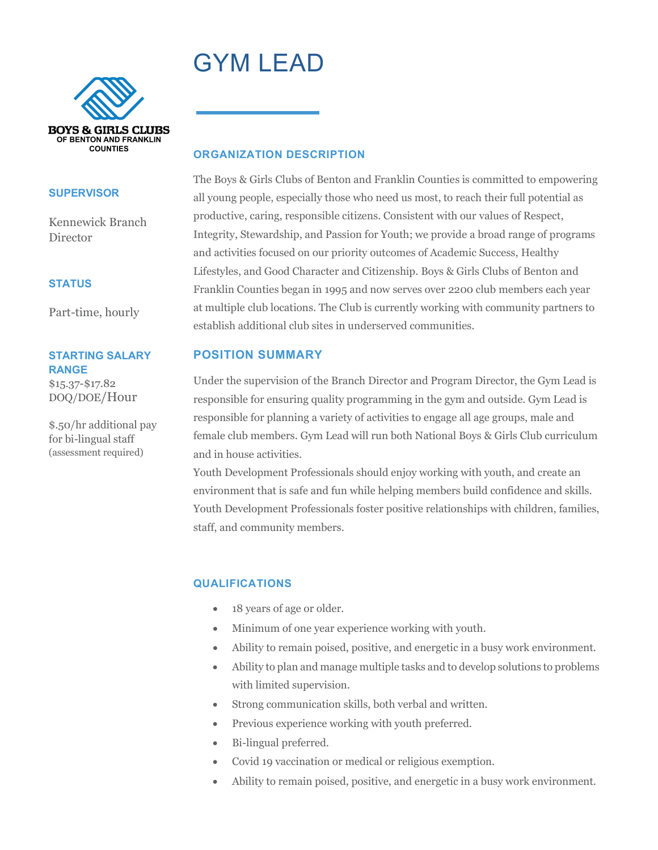# GYM LEAD



#### **SUPERVISOR**

Kennewick Branch **Director** 

#### **STATUS**

Part-time, hourly

#### **STARTING SALARY RANGE**

\$15.37-\$17.82 DOQ/DOE/Hour

\$.50/hr additional pay for bi-lingual staff (assessment required)

#### **ORGANIZATION DESCRIPTION**

The Boys & Girls Clubs of Benton and Franklin Counties is committed to empowering all young people, especially those who need us most, to reach their full potential as productive, caring, responsible citizens. Consistent with our values of Respect, Integrity, Stewardship, and Passion for Youth; we provide a broad range of programs and activities focused on our priority outcomes of Academic Success, Healthy Lifestyles, and Good Character and Citizenship. Boys & Girls Clubs of Benton and Franklin Counties began in 1995 and now serves over 2200 club members each year at multiple club locations. The Club is currently working with community partners to establish additional club sites in underserved communities.

## **POSITION SUMMARY**

Under the supervision of the Branch Director and Program Director, the Gym Lead is responsible for ensuring quality programming in the gym and outside. Gym Lead is responsible for planning a variety of activities to engage all age groups, male and female club members. Gym Lead will run both National Boys & Girls Club curriculum and in house activities.

Youth Development Professionals should enjoy working with youth, and create an environment that is safe and fun while helping members build confidence and skills. Youth Development Professionals foster positive relationships with children, families, staff, and community members.

## **QUALIFICATIONS**

- 18 years of age or older.
- Minimum of one year experience working with youth.
- Ability to remain poised, positive, and energetic in a busy work environment.
- Ability to plan and manage multiple tasks and to develop solutions to problems with limited supervision.
- Strong communication skills, both verbal and written.
- Previous experience working with youth preferred.
- Bi-lingual preferred.
- Covid 19 vaccination or medical or religious exemption.
- Ability to remain poised, positive, and energetic in a busy work environment.